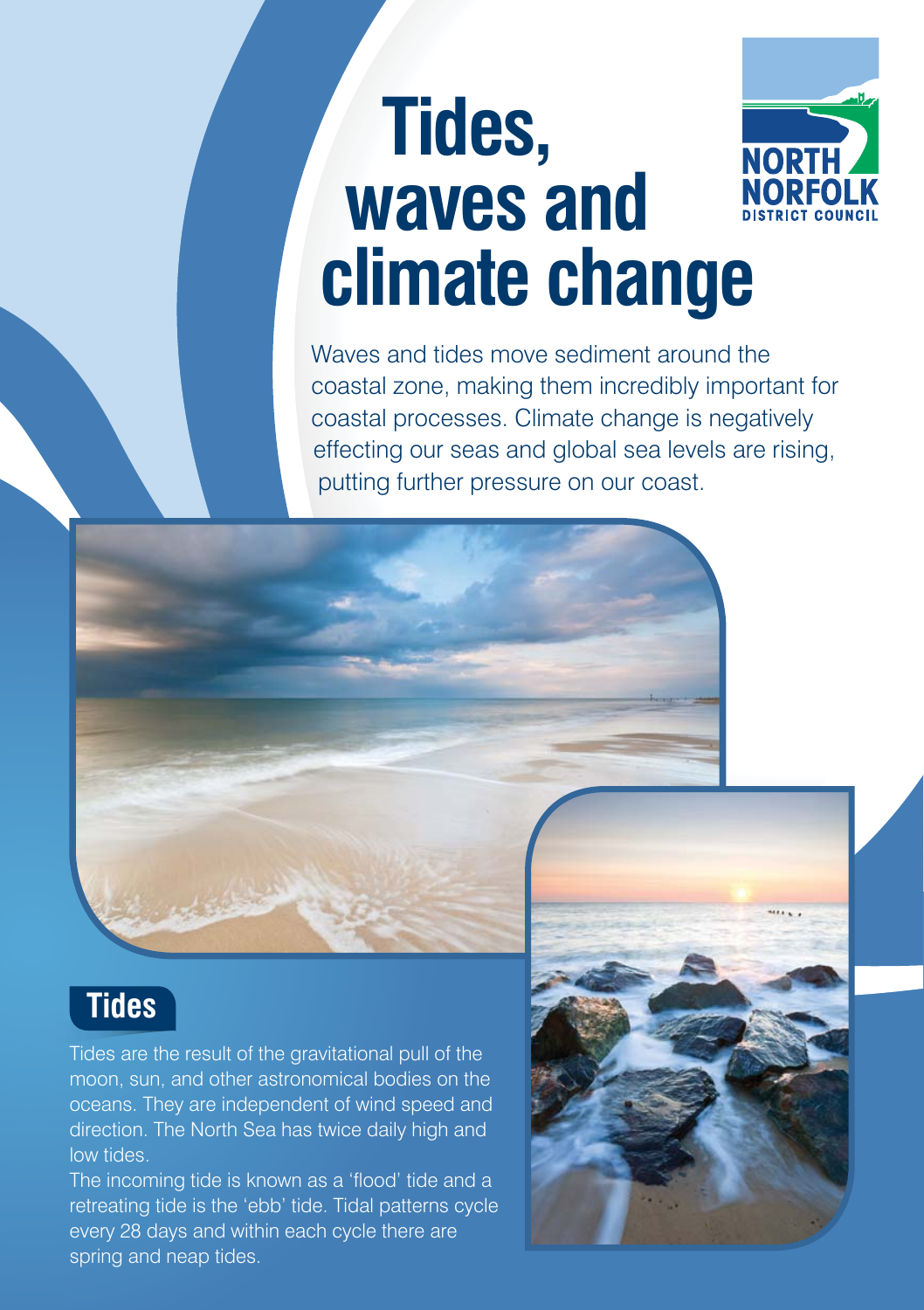# **Tides, NORT waves and climate change**

Waves and tides move sediment around the coastal zone, making them incredibly important for coastal processes. Climate change is negatively effecting our seas and global sea levels are rising, putting further pressure on our coast.

### **Tides**

Tides are the result of the gravitational pull of the moon, sun, and other astronomical bodies on the oceans. They are independent of wind speed and direction. The North Sea has twice daily high and low tides.

The incoming tide is known as a 'flood' tide and a retreating tide is the 'ebb' tide. Tidal patterns cycle every 28 days and within each cycle there are spring and neap tides.

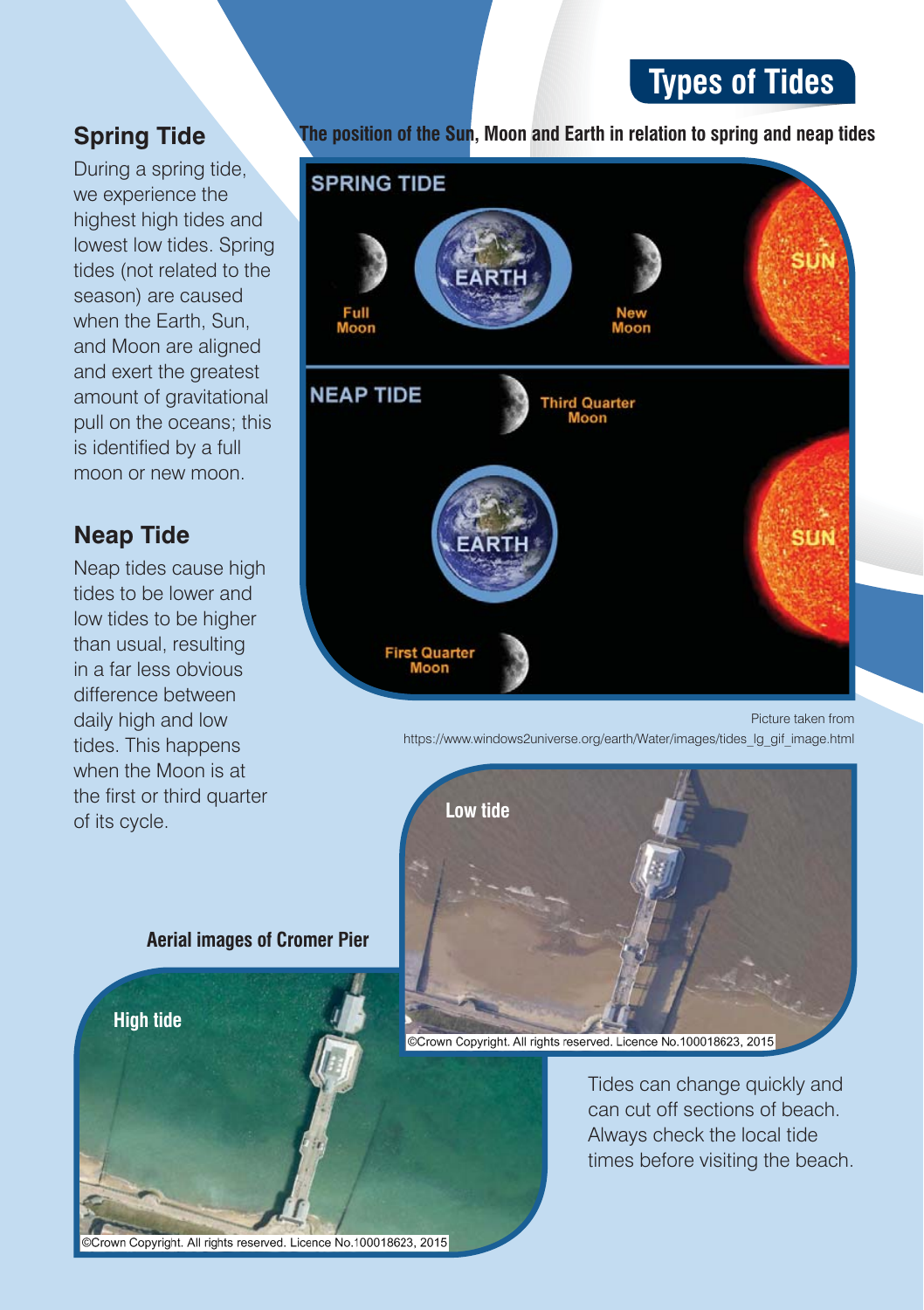#### **Types of Tides**

#### **Spring Tide**

During a spring tide, we experience the highest high tides and lowest low tides. Spring tides (not related to the season) are caused when the Earth, Sun, and Moon are aligned and exert the greatest amount of gravitational pull on the oceans; this is identified by a full moon or new moon.

#### **Neap Tide**

Neap tides cause high tides to be lower and low tides to be higher than usual, resulting in a far less obvious difference between daily high and low tides. This happens when the Moon is at the first or third quarter of its cycle.

**The position of the Sun, Moon and Earth in relation to spring and neap tides**



Picture taken from https://www.windows2universe.org/earth/Water/images/tides\_lg\_gif\_image.html



#### **Aerial images of Cromer Pier**



Crown Copyright. All rights reserved. Licence No.100018623, 2015

Crown Copyright. All rights reserved. Licence No.100018623, 2015

Tides can change quickly and can cut off sections of beach. Always check the local tide times before visiting the beach.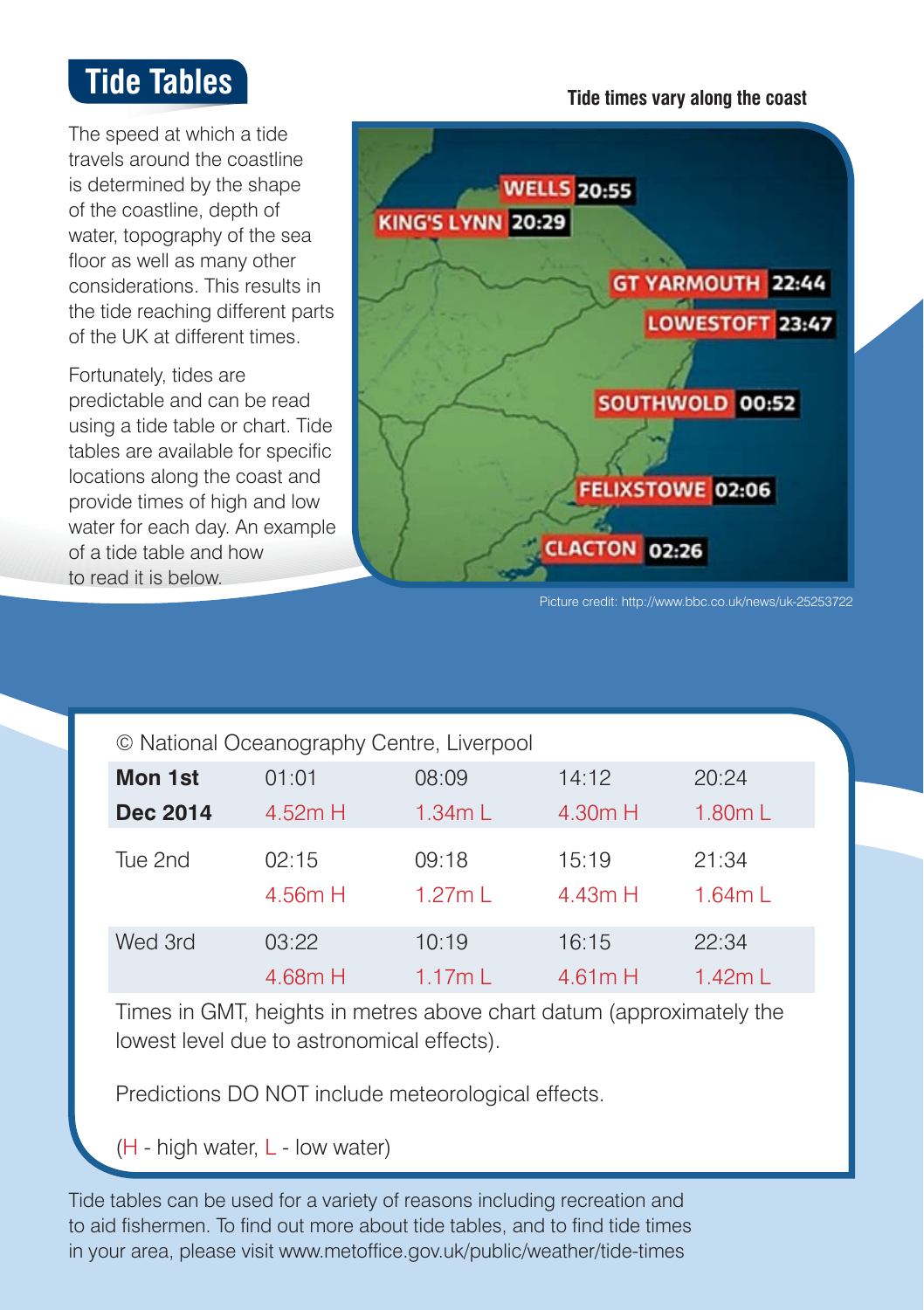### **Tide Tables**

The speed at which a tide travels around the coastline is determined by the shape of the coastline, depth of water, topography of the sea floor as well as many other considerations. This results in the tide reaching different parts of the UK at different times.

Fortunately, tides are predictable and can be read using a tide table or chart. Tide tables are available for specific locations along the coast and provide times of high and low water for each day. An example of a tide table and how to read it is below.



**Tide times vary along the coast**

| © National Oceanography Centre, Liverpool |                  |                           |                  |                 |
|-------------------------------------------|------------------|---------------------------|------------------|-----------------|
| Mon 1st                                   | 01:01            | 08:09                     | 14:12            | 20:24           |
| <b>Dec 2014</b>                           | 4.52m H          | 1.34mL                    | 4.30m H          | 1.80mL          |
| Tue 2nd                                   | 02:15<br>4.56m H | 09:18<br>$1.27m$ $\Gamma$ | 15:19<br>4.43m H | 21:34<br>1.64mL |
| Wed 3rd                                   | 03:22            | 10:19                     | 16:15            | 22:34           |
|                                           | 4.68m H          | 1.17mL                    | 4.61mH           | 1.42mL          |

Times in GMT, heights in metres above chart datum (approximately the lowest level due to astronomical effects).

Predictions DO NOT include meteorological effects.

 $(H - high water, L - low water)$ 

Tide tables can be used for a variety of reasons including recreation and to aid fishermen. To find out more about tide tables, and to find tide times in your area, please visit www.metoffice.gov.uk/public/weather/tide-times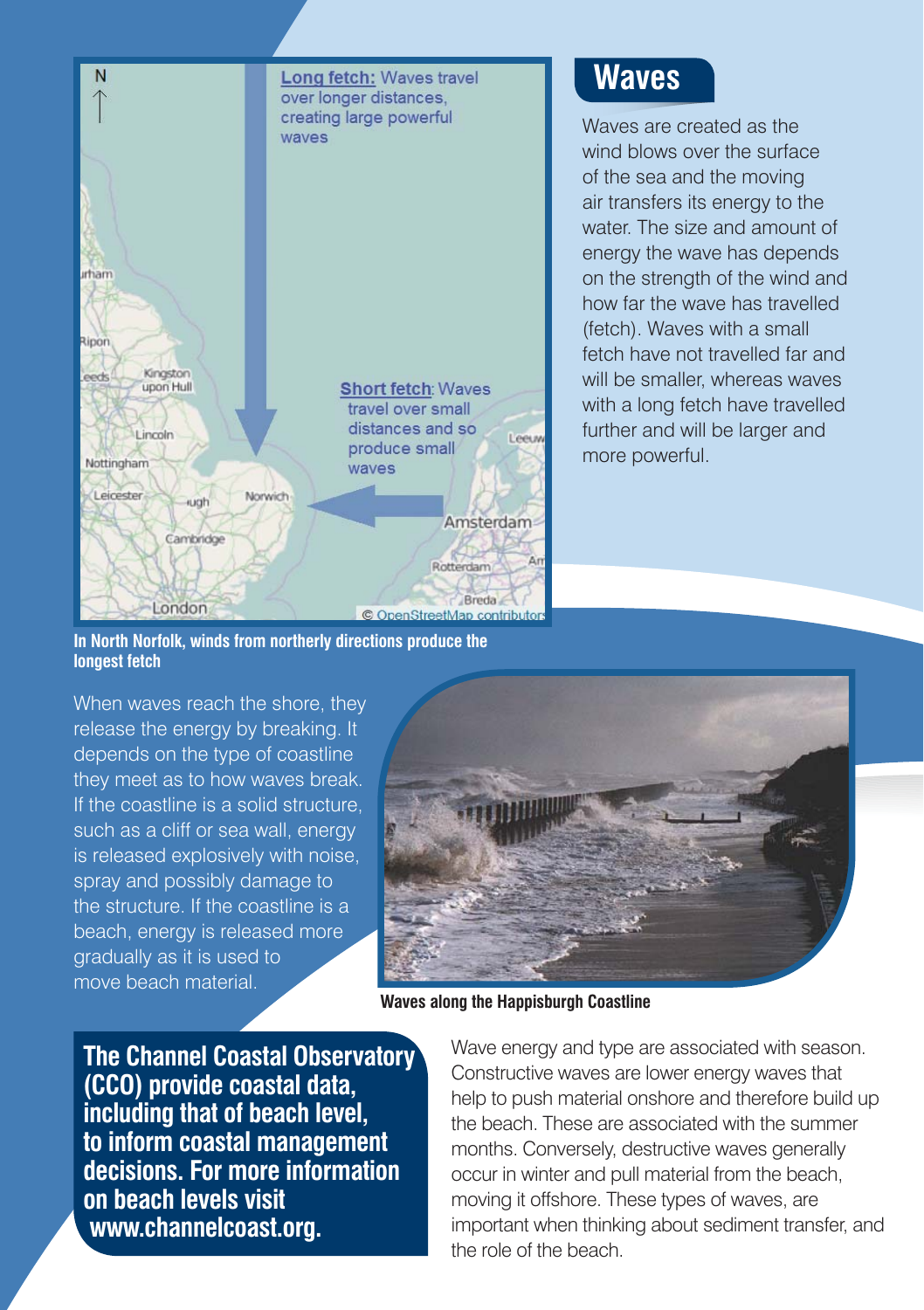

#### **Waves**

Waves are created as the wind blows over the surface of the sea and the moving air transfers its energy to the water. The size and amount of energy the wave has depends on the strength of the wind and how far the wave has travelled (fetch). Waves with a small fetch have not travelled far and will be smaller, whereas waves with a long fetch have travelled further and will be larger and more powerful.

**In North Norfolk, winds from northerly directions produce the longest fetch**

When waves reach the shore, they release the energy by breaking. It depends on the type of coastline they meet as to how waves break. If the coastline is a solid structure, such as a cliff or sea wall, energy is released explosively with noise, spray and possibly damage to the structure. If the coastline is a beach, energy is released more gradually as it is used to move beach material.



**Waves along the Happisburgh Coastline**

**The Channel Coastal Observatory (CCO) provide coastal data, including that of beach level, to inform coastal management decisions. For more information on beach levels visit www.channelcoast.org.**

Wave energy and type are associated with season. Constructive waves are lower energy waves that help to push material onshore and therefore build up the beach. These are associated with the summer months. Conversely, destructive waves generally occur in winter and pull material from the beach, moving it offshore. These types of waves, are important when thinking about sediment transfer, and the role of the beach.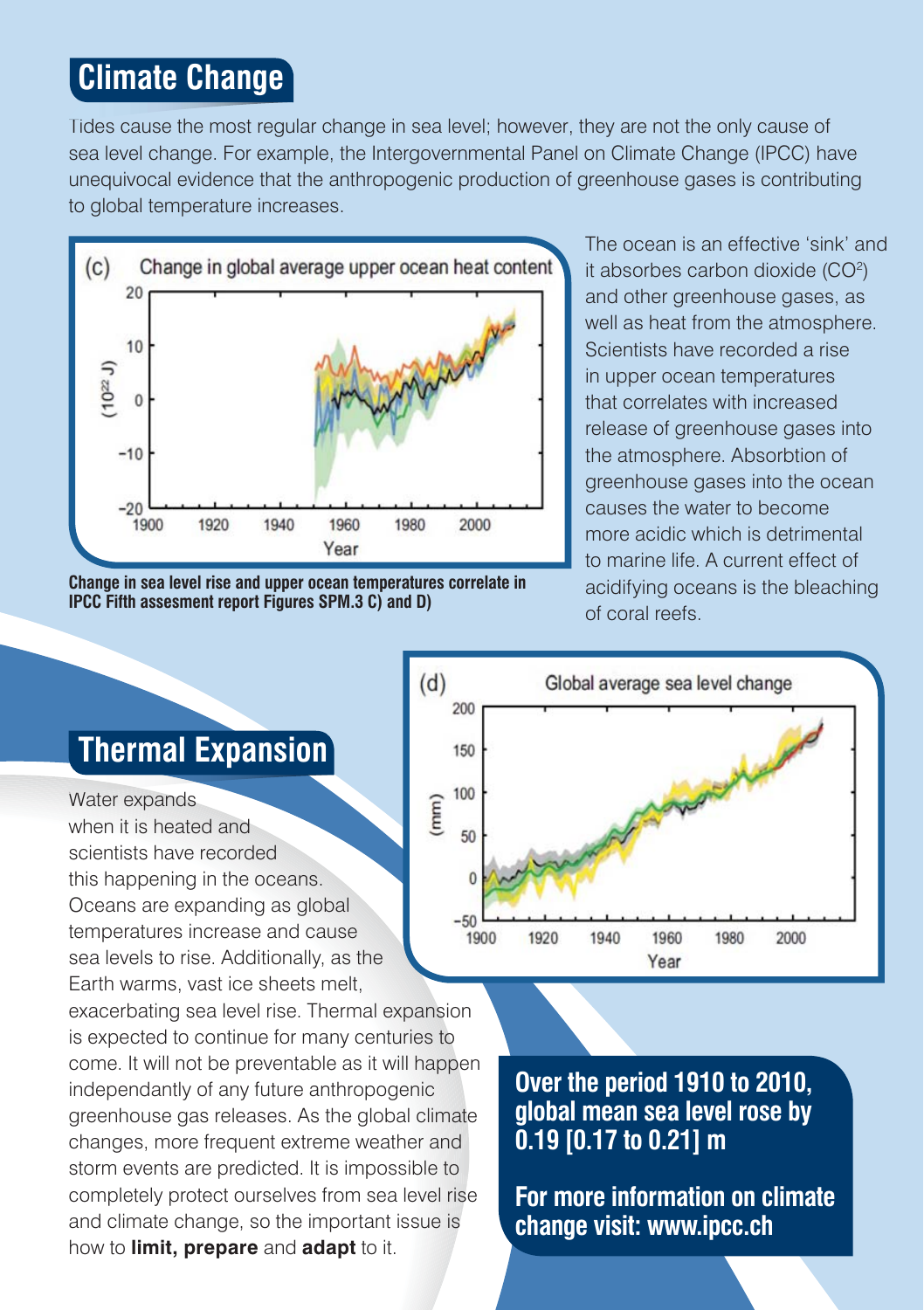### **Climate Change**

Tides cause the most regular change in sea level; however, they are not the only cause of Tid sea level change. For example, the Intergovernmental Panel on Climate Change (IPCC) have unequivocal evidence that the anthropogenic production of greenhouse gases is contributing to global temperature increases.



**Change in sea level rise and upper ocean temperatures correlate in IPCC Fifth assesment report Figures SPM.3 C) and D)**

The ocean is an effective 'sink' and it absorbes carbon dioxide  $(CO<sup>2</sup>)$ and other greenhouse gases, as well as heat from the atmosphere. Scientists have recorded a rise in upper ocean temperatures that correlates with increased release of greenhouse gases into the atmosphere. Absorbtion of greenhouse gases into the ocean causes the water to become more acidic which is detrimental to marine life. A current effect of acidifying oceans is the bleaching of coral reefs.



## **Thermal Expansion**

Water expands when it is heated and scientists have recorded this happening in the oceans. Oceans are expanding as global temperatures increase and cause sea levels to rise. Additionally, as the Earth warms, vast ice sheets melt, exacerbating sea level rise. Thermal expansion is expected to continue for many centuries to come. It will not be preventable as it will happen

independantly of any future anthropogenic greenhouse gas releases. As the global climate changes, more frequent extreme weather and storm events are predicted. It is impossible to completely protect ourselves from sea level rise and climate change, so the important issue is how to **limit, prepare** and **adapt** to it.

**Over the period 1910 to 2010, global mean sea level rose by 0.19 [0.17 to 0.21] m**

**For more information on climate change visit: www.ipcc.ch**